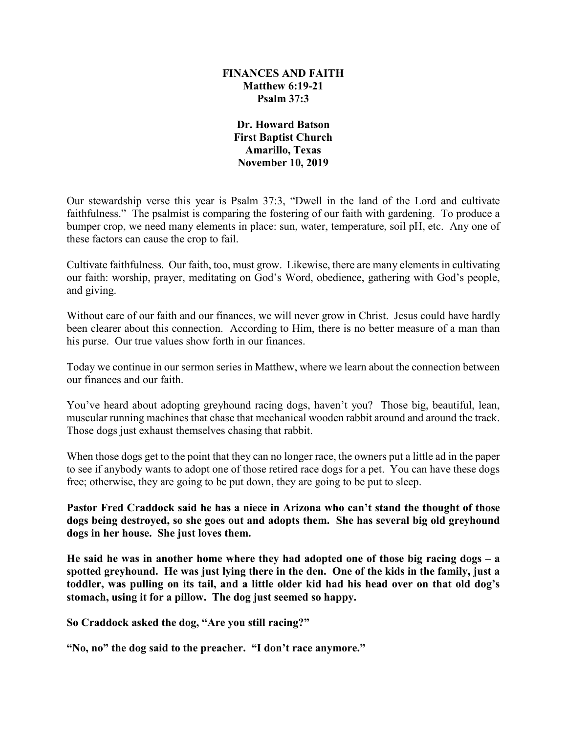## **FINANCES AND FAITH Matthew 6:19-21 Psalm 37:3**

**Dr. Howard Batson First Baptist Church Amarillo, Texas November 10, 2019**

Our stewardship verse this year is Psalm 37:3, "Dwell in the land of the Lord and cultivate faithfulness." The psalmist is comparing the fostering of our faith with gardening. To produce a bumper crop, we need many elements in place: sun, water, temperature, soil pH, etc. Any one of these factors can cause the crop to fail.

Cultivate faithfulness. Our faith, too, must grow. Likewise, there are many elements in cultivating our faith: worship, prayer, meditating on God's Word, obedience, gathering with God's people, and giving.

Without care of our faith and our finances, we will never grow in Christ. Jesus could have hardly been clearer about this connection. According to Him, there is no better measure of a man than his purse. Our true values show forth in our finances.

Today we continue in our sermon series in Matthew, where we learn about the connection between our finances and our faith.

You've heard about adopting greyhound racing dogs, haven't you? Those big, beautiful, lean, muscular running machines that chase that mechanical wooden rabbit around and around the track. Those dogs just exhaust themselves chasing that rabbit.

When those dogs get to the point that they can no longer race, the owners put a little ad in the paper to see if anybody wants to adopt one of those retired race dogs for a pet. You can have these dogs free; otherwise, they are going to be put down, they are going to be put to sleep.

**Pastor Fred Craddock said he has a niece in Arizona who can't stand the thought of those dogs being destroyed, so she goes out and adopts them. She has several big old greyhound dogs in her house. She just loves them.** 

**He said he was in another home where they had adopted one of those big racing dogs – a spotted greyhound. He was just lying there in the den. One of the kids in the family, just a toddler, was pulling on its tail, and a little older kid had his head over on that old dog's stomach, using it for a pillow. The dog just seemed so happy.**

**So Craddock asked the dog, "Are you still racing?"**

**"No, no" the dog said to the preacher. "I don't race anymore."**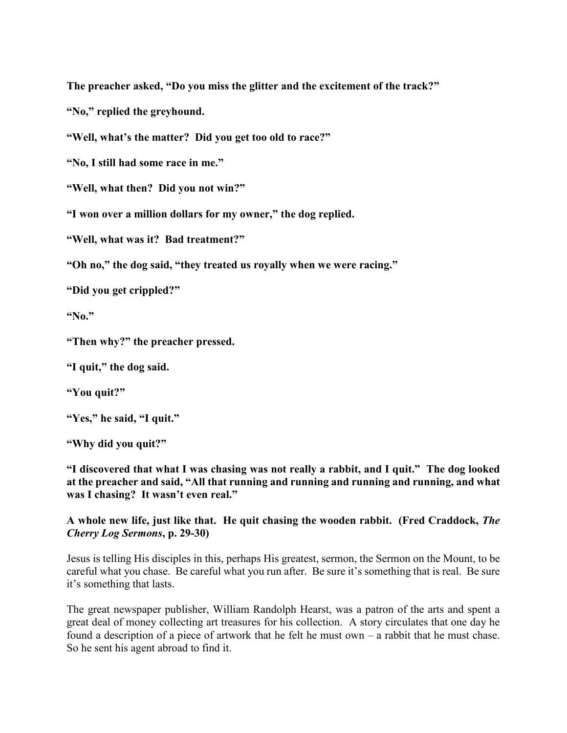**The preacher asked, "Do you miss the glitter and the excitement of the track?"**

**"No," replied the greyhound.**

**"Well, what's the matter? Did you get too old to race?"**

**"No, I still had some race in me."**

**"Well, what then? Did you not win?"** 

**"I won over a million dollars for my owner," the dog replied.**

**"Well, what was it? Bad treatment?"**

**"Oh no," the dog said, "they treated us royally when we were racing."**

**"Did you get crippled?"**

**"No."**

**"Then why?" the preacher pressed.**

**"I quit," the dog said.**

**"You quit?"**

**"Yes," he said, "I quit."**

**"Why did you quit?"**

**"I discovered that what I was chasing was not really a rabbit, and I quit." The dog looked at the preacher and said, "All that running and running and running and running, and what was I chasing? It wasn't even real."**

**A whole new life, just like that. He quit chasing the wooden rabbit. (Fred Craddock,** *The Cherry Log Sermons***, p. 29-30)**

Jesus is telling His disciples in this, perhaps His greatest, sermon, the Sermon on the Mount, to be careful what you chase. Be careful what you run after. Be sure it's something that is real. Be sure it's something that lasts.

The great newspaper publisher, William Randolph Hearst, was a patron of the arts and spent a great deal of money collecting art treasures for his collection. A story circulates that one day he found a description of a piece of artwork that he felt he must own – a rabbit that he must chase. So he sent his agent abroad to find it.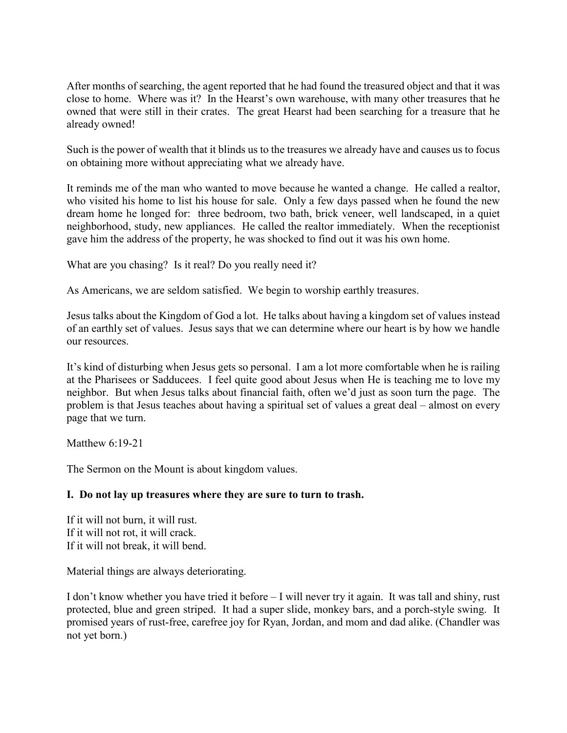After months of searching, the agent reported that he had found the treasured object and that it was close to home. Where was it? In the Hearst's own warehouse, with many other treasures that he owned that were still in their crates. The great Hearst had been searching for a treasure that he already owned!

Such is the power of wealth that it blinds us to the treasures we already have and causes us to focus on obtaining more without appreciating what we already have.

It reminds me of the man who wanted to move because he wanted a change. He called a realtor, who visited his home to list his house for sale. Only a few days passed when he found the new dream home he longed for: three bedroom, two bath, brick veneer, well landscaped, in a quiet neighborhood, study, new appliances. He called the realtor immediately. When the receptionist gave him the address of the property, he was shocked to find out it was his own home.

What are you chasing? Is it real? Do you really need it?

As Americans, we are seldom satisfied. We begin to worship earthly treasures.

Jesus talks about the Kingdom of God a lot. He talks about having a kingdom set of values instead of an earthly set of values. Jesus says that we can determine where our heart is by how we handle our resources.

It's kind of disturbing when Jesus gets so personal. I am a lot more comfortable when he is railing at the Pharisees or Sadducees. I feel quite good about Jesus when He is teaching me to love my neighbor. But when Jesus talks about financial faith, often we'd just as soon turn the page. The problem is that Jesus teaches about having a spiritual set of values a great deal – almost on every page that we turn.

Matthew 6:19-21

The Sermon on the Mount is about kingdom values.

## **I. Do not lay up treasures where they are sure to turn to trash.**

If it will not burn, it will rust. If it will not rot, it will crack. If it will not break, it will bend.

Material things are always deteriorating.

I don't know whether you have tried it before – I will never try it again. It was tall and shiny, rust protected, blue and green striped. It had a super slide, monkey bars, and a porch-style swing. It promised years of rust-free, carefree joy for Ryan, Jordan, and mom and dad alike. (Chandler was not yet born.)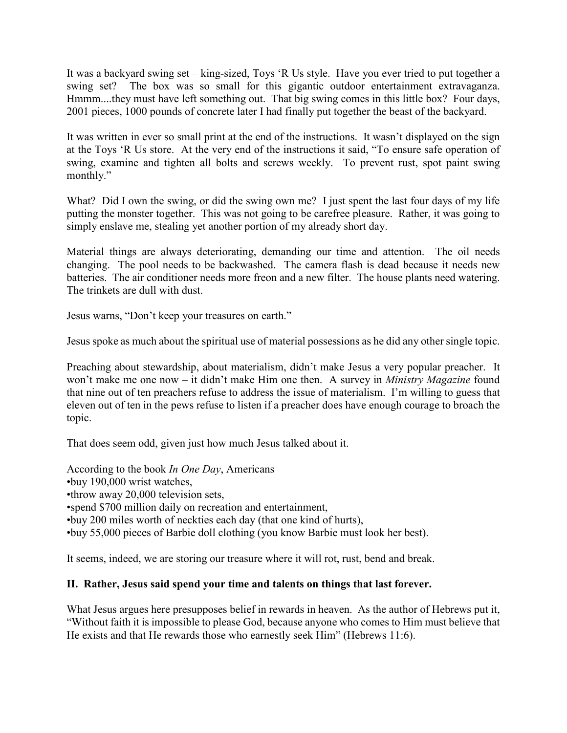It was a backyard swing set – king-sized, Toys 'R Us style. Have you ever tried to put together a swing set? The box was so small for this gigantic outdoor entertainment extravaganza. Hmmm....they must have left something out. That big swing comes in this little box? Four days, 2001 pieces, 1000 pounds of concrete later I had finally put together the beast of the backyard.

It was written in ever so small print at the end of the instructions. It wasn't displayed on the sign at the Toys 'R Us store. At the very end of the instructions it said, "To ensure safe operation of swing, examine and tighten all bolts and screws weekly. To prevent rust, spot paint swing monthly."

What? Did I own the swing, or did the swing own me? I just spent the last four days of my life putting the monster together. This was not going to be carefree pleasure. Rather, it was going to simply enslave me, stealing yet another portion of my already short day.

Material things are always deteriorating, demanding our time and attention. The oil needs changing. The pool needs to be backwashed. The camera flash is dead because it needs new batteries. The air conditioner needs more freon and a new filter. The house plants need watering. The trinkets are dull with dust.

Jesus warns, "Don't keep your treasures on earth."

Jesus spoke as much about the spiritual use of material possessions as he did any other single topic.

Preaching about stewardship, about materialism, didn't make Jesus a very popular preacher. It won't make me one now – it didn't make Him one then. A survey in *Ministry Magazine* found that nine out of ten preachers refuse to address the issue of materialism. I'm willing to guess that eleven out of ten in the pews refuse to listen if a preacher does have enough courage to broach the topic.

That does seem odd, given just how much Jesus talked about it.

According to the book *In One Day*, Americans •buy 190,000 wrist watches, •throw away 20,000 television sets, •spend \$700 million daily on recreation and entertainment, •buy 200 miles worth of neckties each day (that one kind of hurts), •buy 55,000 pieces of Barbie doll clothing (you know Barbie must look her best).

It seems, indeed, we are storing our treasure where it will rot, rust, bend and break.

## **II. Rather, Jesus said spend your time and talents on things that last forever.**

What Jesus argues here presupposes belief in rewards in heaven. As the author of Hebrews put it, "Without faith it is impossible to please God, because anyone who comes to Him must believe that He exists and that He rewards those who earnestly seek Him" (Hebrews 11:6).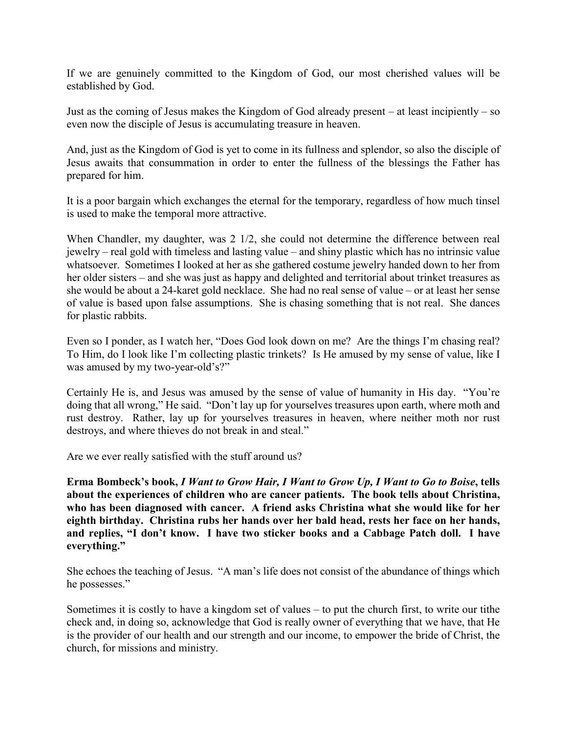If we are genuinely committed to the Kingdom of God, our most cherished values will be established by God.

Just as the coming of Jesus makes the Kingdom of God already present – at least incipiently – so even now the disciple of Jesus is accumulating treasure in heaven.

And, just as the Kingdom of God is yet to come in its fullness and splendor, so also the disciple of Jesus awaits that consummation in order to enter the fullness of the blessings the Father has prepared for him.

It is a poor bargain which exchanges the eternal for the temporary, regardless of how much tinsel is used to make the temporal more attractive.

When Chandler, my daughter, was 2 1/2, she could not determine the difference between real jewelry – real gold with timeless and lasting value – and shiny plastic which has no intrinsic value whatsoever. Sometimes I looked at her as she gathered costume jewelry handed down to her from her older sisters – and she was just as happy and delighted and territorial about trinket treasures as she would be about a 24-karet gold necklace. She had no real sense of value – or at least her sense of value is based upon false assumptions. She is chasing something that is not real. She dances for plastic rabbits.

Even so I ponder, as I watch her, "Does God look down on me? Are the things I'm chasing real? To Him, do I look like I'm collecting plastic trinkets? Is He amused by my sense of value, like I was amused by my two-year-old's?"

Certainly He is, and Jesus was amused by the sense of value of humanity in His day. "You're doing that all wrong," He said. "Don't lay up for yourselves treasures upon earth, where moth and rust destroy. Rather, lay up for yourselves treasures in heaven, where neither moth nor rust destroys, and where thieves do not break in and steal."

Are we ever really satisfied with the stuff around us?

**Erma Bombeck's book,** *I Want to Grow Hair, I Want to Grow Up, I Want to Go to Boise***, tells about the experiences of children who are cancer patients. The book tells about Christina, who has been diagnosed with cancer. A friend asks Christina what she would like for her eighth birthday. Christina rubs her hands over her bald head, rests her face on her hands, and replies, "I don't know. I have two sticker books and a Cabbage Patch doll. I have everything."**

She echoes the teaching of Jesus. "A man's life does not consist of the abundance of things which he possesses."

Sometimes it is costly to have a kingdom set of values – to put the church first, to write our tithe check and, in doing so, acknowledge that God is really owner of everything that we have, that He is the provider of our health and our strength and our income, to empower the bride of Christ, the church, for missions and ministry.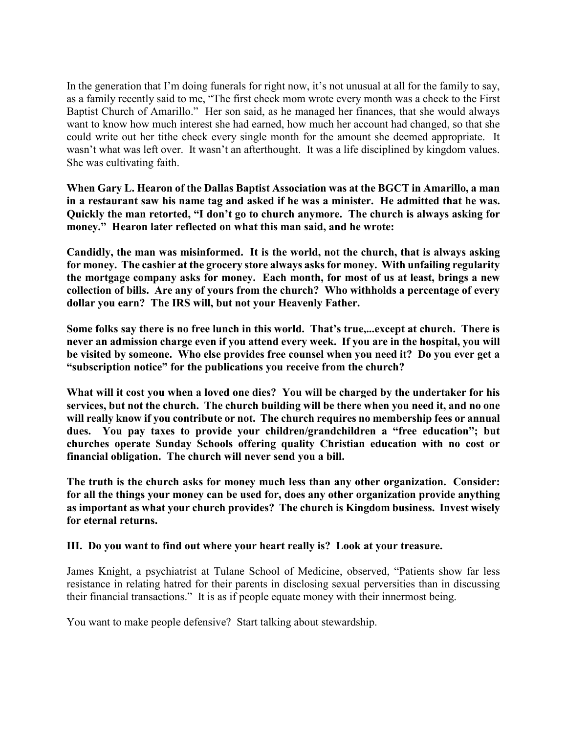In the generation that I'm doing funerals for right now, it's not unusual at all for the family to say, as a family recently said to me, "The first check mom wrote every month was a check to the First Baptist Church of Amarillo." Her son said, as he managed her finances, that she would always want to know how much interest she had earned, how much her account had changed, so that she could write out her tithe check every single month for the amount she deemed appropriate. It wasn't what was left over. It wasn't an afterthought. It was a life disciplined by kingdom values. She was cultivating faith.

**When Gary L. Hearon of the Dallas Baptist Association was at the BGCT in Amarillo, a man in a restaurant saw his name tag and asked if he was a minister. He admitted that he was. Quickly the man retorted, "I don't go to church anymore. The church is always asking for money." Hearon later reflected on what this man said, and he wrote:** 

**Candidly, the man was misinformed. It is the world, not the church, that is always asking for money. The cashier at the grocery store always asks for money. With unfailing regularity the mortgage company asks for money. Each month, for most of us at least, brings a new collection of bills. Are any of yours from the church? Who withholds a percentage of every dollar you earn? The IRS will, but not your Heavenly Father.**

**Some folks say there is no free lunch in this world. That's true,...except at church. There is never an admission charge even if you attend every week. If you are in the hospital, you will be visited by someone. Who else provides free counsel when you need it? Do you ever get a "subscription notice" for the publications you receive from the church?**

**What will it cost you when a loved one dies? You will be charged by the undertaker for his services, but not the church. The church building will be there when you need it, and no one will really know if you contribute or not. The church requires no membership fees or annual dues. You pay taxes to provide your children/grandchildren a "free education"; but churches operate Sunday Schools offering quality Christian education with no cost or financial obligation. The church will never send you a bill.**

**The truth is the church asks for money much less than any other organization. Consider: for all the things your money can be used for, does any other organization provide anything as important as what your church provides? The church is Kingdom business. Invest wisely for eternal returns.**

## **III. Do you want to find out where your heart really is? Look at your treasure.**

James Knight, a psychiatrist at Tulane School of Medicine, observed, "Patients show far less resistance in relating hatred for their parents in disclosing sexual perversities than in discussing their financial transactions." It is as if people equate money with their innermost being.

You want to make people defensive? Start talking about stewardship.